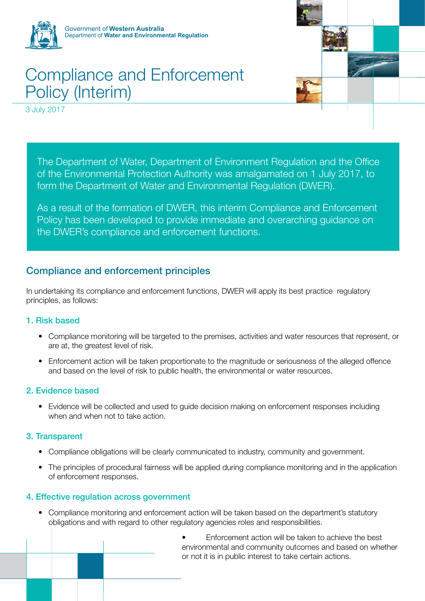

# Compliance and Enforcement Policy (Interim)

3 July 2017



The Department of Water, Department of Environment Regulation and the Office of the Environmental Protection Authority was amalgamated on 1 July 2017, to form the Department of Water and Environmental Regulation (DWER).

As a result of the formation of DWER, this interim Compliance and Enforcement Policy has been developed to provide immediate and overarching guidance on the DWER's compliance and enforcement functions.

## Compliance and enforcement principles

In undertaking its compliance and enforcement functions, DWER will apply its best practice regulatory principles, as follows:

#### 1. Risk based

- Compliance monitoring will be targeted to the premises, activities and water resources that represent, or are at, the greatest level of risk.
- Enforcement action will be taken proportionate to the magnitude or seriousness of the alleged offence and based on the level of risk to public health, the environmental or water resources.

#### 2. Evidence based

• Evidence will be collected and used to guide decision making on enforcement responses including when and when not to take action.

#### 3. Transparent

- Compliance obligations will be clearly communicated to industry, community and government.
- The principles of procedural fairness will be applied during compliance monitoring and in the application of enforcement responses.

#### 4. Effective regulation across government

• Compliance monitoring and enforcement action will be taken based on the department's statutory obligations and with regard to other regulatory agencies roles and responsibilities.

> Enforcement action will be taken to achieve the best environmental and community outcomes and based on whether or not it is in public interest to take certain actions.